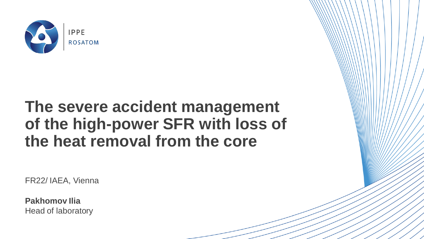

# **The severe accident management of the high-power SFR with loss of the heat removal from the core**

FR22/ IAEA, Vienna

**Pakhomov Ilia** Head of laboratory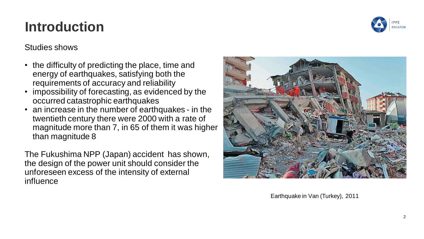#### **Introduction**



#### Studies shows

- the difficulty of predicting the place, time and energy of earthquakes, satisfying both the requirements of accuracy and reliability
- impossibility of forecasting, as evidenced by the occurred catastrophic earthquakes
- an increase in the number of earthquakes in the twentieth century there were 2000 with a rate of magnitude more than 7, in 65 of them it was higher than magnitude 8

The Fukushima NPP (Japan) accident has shown, the design of the power unit should consider the unforeseen excess of the intensity of external influence



Earthquake in Van (Turkey), 2011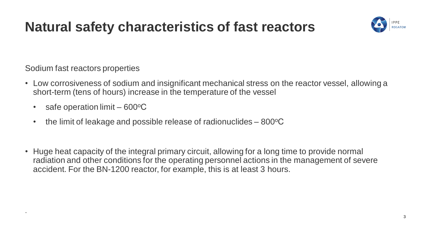#### **Natural safety characteristics of fast reactors**



Sodium fast reactors properties

.

- Low corrosiveness of sodium and insignificant mechanical stress on the reactor vessel, allowing a short-term (tens of hours) increase in the temperature of the vessel
	- safe operation limit  $600^{\circ}$ C
	- the limit of leakage and possible release of radionuclides  $-800^{\circ}$ C
- Huge heat capacity of the integral primary circuit, allowing for a long time to provide normal radiation and other conditions for the operating personnel actions in the management of severe accident. For the BN-1200 reactor, for example, this is at least 3 hours.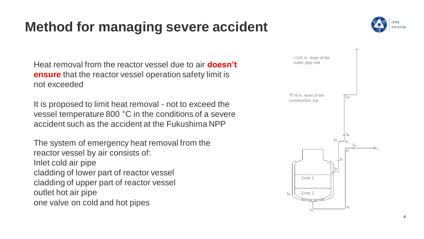## **Method for managing severe accident**



Heat removal from the reactor vessel due to air **doesn't ensure** that the reactor vessel operation safety limit is not exceeded

It is proposed to limit heat removal - not to exceed the vessel temperature 800 °C in the conditions of a severe accident such as the accident at the Fukushima NPP

The system of emergency heat removal from the reactor vessel by air consists of: Inlet cold air pipe cladding of lower part of reactor vessel cladding of upper part of reactor vessel outlet hot air pipe one valve on cold and hot pipes

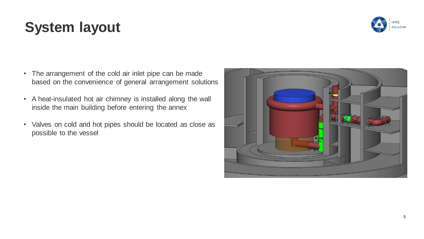# **System layout**

- The arrangement of the cold air inlet pipe can be made based on the convenience of general arrangement solutions
- A heat-insulated hot air chimney is installed along the wall inside the main building before entering the annex
- Valves on cold and hot pipes should be located as close as possible to the vessel



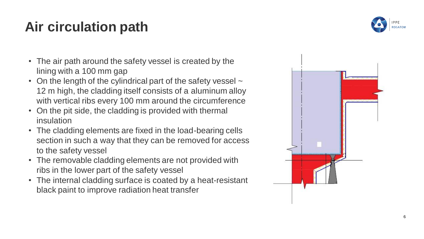# **Air circulation path**

- The air path around the safety vessel is created by the lining with a 100 mm gap
- On the length of the cylindrical part of the safety vessel  $\sim$ 12 m high, the cladding itself consists of a aluminum alloy with vertical ribs every 100 mm around the circumference
- On the pit side, the cladding is provided with thermal insulation
- The cladding elements are fixed in the load -bearing cells section in such a way that they can be removed for access to the safety vessel
- The removable cladding elements are not provided with ribs in the lower part of the safety vessel
- The internal cladding surface is coated by a heat -resistant black paint to improve radiation heat transfer

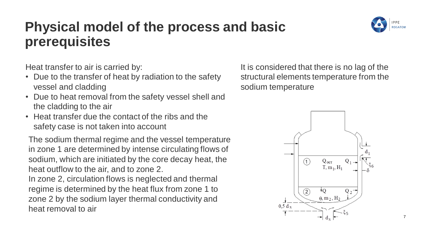### **Physical model of the process and basic prerequisites**



Heat transfer to air is carried by:

- Due to the transfer of heat by radiation to the safety vessel and cladding
- Due to heat removal from the safety vessel shell and the cladding to the air
- Heat transfer due the contact of the ribs and the safety case is not taken into account

The sodium thermal regime and the vessel temperature in zone 1 are determined by intense circulating flows of sodium, which are initiated by the core decay heat, the heat outflow to the air, and to zone 2.

In zone 2, circulation flows is neglected and thermal regime is determined by the heat flux from zone 1 to zone 2 by the sodium layer thermal conductivity and heat removal to air

It is considered that there is no lag of the structural elements temperature from the sodium temperature



7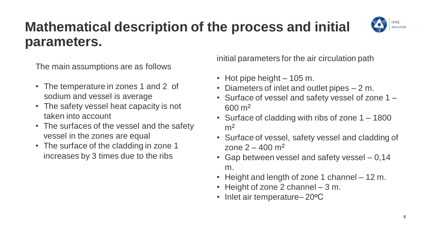#### **Mathematical description of the process and initial parameters.**



The main assumptions are as follows

- The temperature in zones 1 and 2 of sodium and vessel is average
- The safety vessel heat capacity is not taken into account
- The surfaces of the vessel and the safety vessel in the zones are equal
- The surface of the cladding in zone 1 increases by 3 times due to the ribs

initial parameters for the air circulation path

- Hot pipe height 105 m.
- Diameters of inlet and outlet pipes 2 m.
- Surface of vessel and safety vessel of zone 1 600 m<sup>2</sup>
- Surface of cladding with ribs of zone 1 1800  $m<sup>2</sup>$
- Surface of vessel, safety vessel and cladding of zone  $2 - 400$  m<sup>2</sup>
- Gap between vessel and safety vessel 0,14 m.
- Height and length of zone 1 channel 12 m.
- Height of zone 2 channel 3 m.
- Inlet air temperature–20°C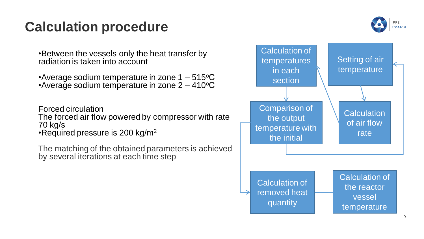#### **Calculation procedure**



•Between the vessels only the heat transfer by radiation is taken into account

•Average sodium temperature in zone  $1 - 515$ °C •Average sodium temperature in zone  $2 - 410$ <sup>o</sup>C

Forced circulation The forced air flow powered by compressor with rate 70 kg/s •Required pressure is 200 kg/m<sup>2</sup>

The matching of the obtained parameters is achieved by several iterations at each time step

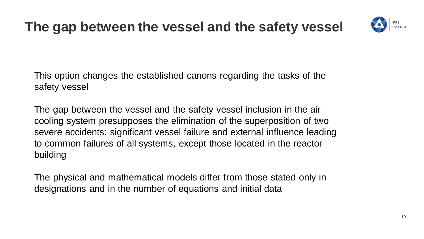### **The gap between the vessel and the safety vessel**



This option changes the established canons regarding the tasks of the safety vessel

The gap between the vessel and the safety vessel inclusion in the air cooling system presupposes the elimination of the superposition of two severe accidents: significant vessel failure and external influence leading to common failures of all systems, except those located in the reactor building

The physical and mathematical models differ from those stated only in designations and in the number of equations and initial data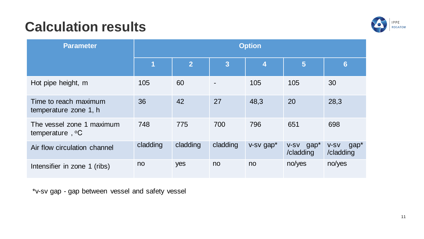# **Calculation results**



| <b>Parameter</b>                               | <b>Option</b> |                |          |                |                           |                             |
|------------------------------------------------|---------------|----------------|----------|----------------|---------------------------|-----------------------------|
|                                                | 1             | $\overline{2}$ | 3        | $\overline{4}$ | 5                         | $6\phantom{1}$              |
| Hot pipe height, m                             | 105           | 60             |          | 105            | 105                       | 30                          |
| Time to reach maximum<br>temperature zone 1, h | 36            | 42             | 27       | 48,3           | 20                        | 28,3                        |
| The vessel zone 1 maximum<br>temperature, °C   | 748           | 775            | 700      | 796            | 651                       | 698                         |
| Air flow circulation channel                   | cladding      | cladding       | cladding | v-sv gap*      | $v$ -sv gap*<br>/cladding | $gap*$<br>V-SV<br>/cladding |
| Intensifier in zone 1 (ribs)                   | no            | yes            | no       | no.            | no/yes                    | no/yes                      |

\*v-sv gap - gap between vessel and safety vessel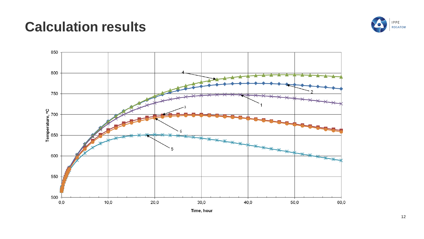#### **Calculation results**



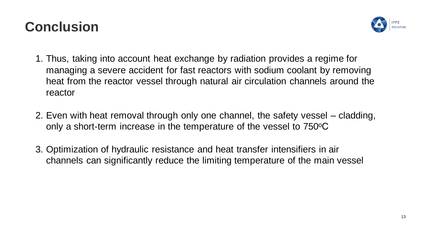#### **Conclusion**



- 1. Thus, taking into account heat exchange by radiation provides a regime for managing a severe accident for fast reactors with sodium coolant by removing heat from the reactor vessel through natural air circulation channels around the reactor
- 2. Even with heat removal through only one channel, the safety vessel cladding, only a short-term increase in the temperature of the vessel to 750°C
- 3. Optimization of hydraulic resistance and heat transfer intensifiers in air channels can significantly reduce the limiting temperature of the main vessel